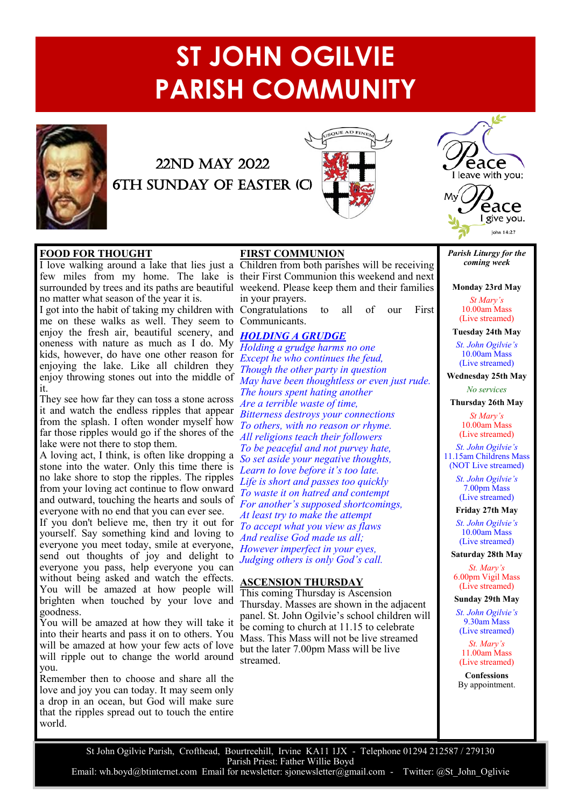# **ST JOHN OGILVIE PARISH COMMUNITY**



## 22ND MAY 2022 6th Sunday of easter (c)





#### **FOOD FOR THOUGHT FOOD FOR THOUGHT**

The waiking around a fake that he's just a Children from both parishes will be receiving<br>few miles from my home. The lake is their First Communion this weekend and next From the beauty in the beautiful weekend. Please keep the[m and t](https://inspire21.com/tag/soul/)heir families surrounded by trees and its paths are beautiful weekend. Please keep them and their families barroanced by trees and its pains are bedding.

I got into the habit of taking my children with Congratulations to all of our First I got mo the habit of taking my children with Congratulations to the of the of the one these walks as well. They seem to Communicants. enjoy the fresh air, beautiful scenery, and oneness with nature as much as I do. My kids, however, do have one other reason for enjoying the lake. Like all children they enjoy throwing stones out into the middle of me on these walks as well. They seem to Communicants. it.

I.<br>They are have fan they son toos a stong gonese. They see how far they can toss a stone across *Are a terrible waste of time*,<br>it and wotek the endless rimles that appear *Are a terrible waste of time*, from the splash. I often wonder myself how far those ripples would go if the shores of the The three temperature go to the cancer of the same of the same of the same of the same of the same of the same of the same of the same of the same of the same of the same of the same of the same of the same of the same of it and watch the endless ripples that appear

A loving act, I think, is often like dropping a stone into the water. Only this time there is no lake shore to stop the ripples. The ripples from your loving act continue to flow onward and outward, touching the hearts and souls of everyone with no end that you can ever see.

It you don't believe me, then try it out for<br>yourself. Say something kind and loving to yoursen, say sometiming kind and loving to something good filter waay, sinne at everyone,<br>some out thoughts of joy and delight to everyone you pass, help everyone you can without being asked and watch the effects. You will be amazed at how people will brighten when touched by your love and goodness. everyone you meet today, smile at everyone, *However imperfect in your eyes,*<br>send, out, thoughts, of joy, and, delight, to If you don't believe me, then try it out for send out thoughts of joy and delight to

You will be amazed at how they will take it into their hearts and pass it on to others. You will be amazed at how your few acts of love will ripple out to change the world around you.

**FORGIVE ME LORD** Remember then to choose and share all the love and joy you can today. It may seem only a drop in an ocean, but God will make sure that the ripples spread out to touch the entire world.

#### **FIRST COMMUNION**

**Forgive Me, The I overlook 2** The Theodon I over the Theodone I love walking around a lake that lies just a Children from both parishes will be receiving in your prayers.

### The goodness which You show me *HOLDING A GRUDGE*

*Holding a grudge harms no one* Except ne wno continues the *jeua*,<br>*Though the other party in question* May have been thoughtless or even just rude. The hours spent hating another Bitterness destroys your connections *Formers, where reason of rhyme.*<br>*All religions teach their followers To be peaceful and not purvey hate, So set aside your negative thoughts,* Learn to love before it's too late. Life is short and passes too quickly<br>*T*<sub>1</sub> *Form and to low narrea and contempt*<br>*For another's supposed shortcomings, For another s supposed shortcoming*<br>*At least try to make the attempt* From those who come in Your Name. *To accept what you view as flaws* And realise God made us all; *Judging others is only God's call. Except he who continues the feud, To others, with no reason or rhyme. To waste it on hatred and contempt And realise God made us all;*

## Your Will at work through human deeds. **ASCENSION THURSDAY**

This coming Thursday is Ascension Thursday. Masses are shown in the adjacent panel. St. John Ogilvie's school children will be coming to church at 11[.15 to](https://inspire21.com/tag/key/) celebrate Mass. This Mass will not be live streamed but the later 7.00pm Mass will be live And help me to do likewise – As You streamed.

*Parish Liturgy for the coming week*

I give you. lohn 14:27

**Monday 23rd May**

*St Mary's* 10.00am Mass (Live streamed)

**Tuesday 24th May** *St. John Ogilvie's* 10.00am Mass (Live streamed)

**Wednesday 25th May** *No services*

**Thursday 26th May**

*St Mary's* 10.00am Mass (Live streamed)

*St. John Ogilvie's* 11.15am Childrens Mass (NOT Live streamed)

> *St. John Ogilvie's* 7.00pm Mass (Live streamed)

#### **Friday 27th May**

*St. John Ogilvie's* 10.00am Mass (Live streamed)

**Saturday 28th May**

*St. Mary's* 6.00pm Vigil Mass (Live streamed)

**Sunday 29th May**

*St. John Ogilvie's* 9.30am Mass (Live streamed)

*St. Mary's* 11.00am Mass (Live streamed)

**Confessions** By appointment.

St John Ogilvie Parish, Crofthead, Bourtreehill, Irvine KA11 1JX - Telephone 01294 212587 / 279130 Parish Priest: Father Willie Boyd Email: wh.boyd@btinternet.com Email for newsletter: sjonewsletter@gmail.com - Twitter: @St John Oglivie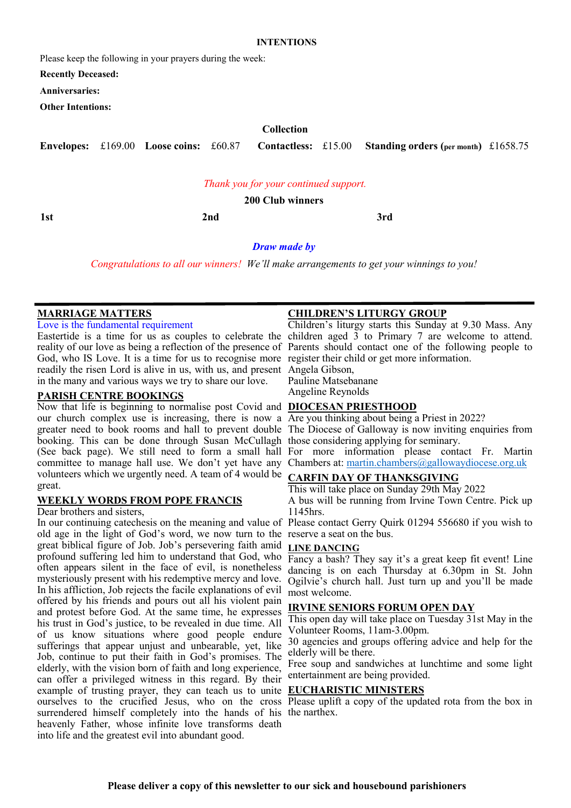#### **INTENTIONS**

Please keep the following in your prayers during the week:

**Recently Deceased:**

**Anniversaries:**

**Other Intentions:**

#### **Collection**

**Envelopes:** £169.00 **Loose coins:** £60.87 **Contactless:** £15.00 **Standing orders (per month)** £1658.75

#### *Thank you for your continued support.*

**200 Club winners**

**1st 2nd 3rd**

## *Draw made by*

*Congratulations to all our winners! We'll make arrangements to get your winnings to you!*

#### **MARRIAGE MATTERS**

Love is the fundamental requirement

God, who IS Love. It is a time for us to recognise more register their child or get more information. readily the risen Lord is alive in us, with us, and present Angela Gibson, in the many and various ways we try to share our love.

#### **PARISH CENTRE BOOKINGS**

Now that life is beginning to normalise post Covid and **DIOCESAN PRIESTHOOD** our church complex use is increasing, there is now a Are you thinking about being a Priest in 2022? booking. This can be done through Susan McCullagh those considering applying for seminary. (See back page). We still need to form a small hall For more information please contact Fr. Martin committee to manage hall use. We don't yet have any Chambers at: [martin.chambers@gallowaydiocese.org.uk](mailto:martin.chambers@gallowaydiocese.org.uk) volunteers which we urgently need. A team of 4 would be **CARFIN DAY OF THANKSGIVING** great.

#### **WEEKLY WORDS FROM POPE FRANCIS**

Dear brothers and sisters,

old age in the light of God's word, we now turn to the reserve a seat on the bus. great biblical figure of Job. Job's persevering faith amid profound suffering led him to understand that God, who Fancy a bash? They say it's a great keep fit event! Line often appears silent in the face of evil, is nonetheless dancing is on each Thursday at 6.30pm in St. John mysteriously present with his redemptive mercy and love. In his affliction, Job rejects the facile explanations of evil offered by his friends and pours out all his violent pain and protest before God. At the same time, he expresses his trust in God's justice, to be revealed in due time. All of us know situations where good people endure sufferings that appear unjust and unbearable, yet, like Job, continue to put their faith in God's promises. The elderly, with the vision born of faith and long experience, can offer a privileged witness in this regard. By their example of trusting prayer, they can teach us to unite **EUCHARISTIC MINISTERS** ourselves to the crucified Jesus, who on the cross Please uplift a copy of the updated rota from the box in surrendered himself completely into the hands of his the narthex. heavenly Father, whose infinite love transforms death into life and the greatest evil into abundant good.

#### **CHILDREN'S LITURGY GROUP**

Eastertide is a time for us as couples to celebrate the children aged 3 to Primary 7 are welcome to attend. reality of our love as being a reflection of the presence of Parents should contact one of the following people to Children's liturgy starts this Sunday at 9.30 Mass. Any

Pauline Matsebanane

Angeline Reynolds

greater need to book rooms and hall to prevent double The Diocese of Galloway is now inviting enquiries from

This will take place on Sunday 29th May 2022 A bus will be running from Irvine Town Centre. Pick up 1145hrs.

In our continuing catechesis on the meaning and value of Please contact Gerry Quirk 01294 556680 if you wish to

#### **LINE DANCING**

Ogilvie's church hall. Just turn up and you'll be made most welcome.

#### **IRVINE SENIORS FORUM OPEN DAY**

This open day will take place on Tuesday 31st May in the Volunteer Rooms, 11am-3.00pm.

30 agencies and groups offering advice and help for the elderly will be there.

Free soup and sandwiches at lunchtime and some light entertainment are being provided.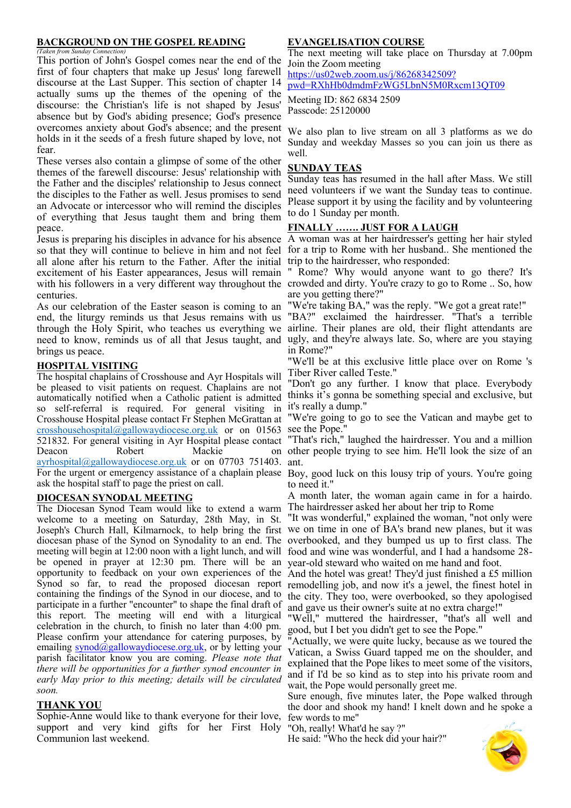#### **BACKGROUND ON THE GOSPEL READING**

*(Taken from Sunday Connection)* This portion of John's Gospel comes near the end of the first of four chapters that make up Jesus' long farewell discourse at the Last Supper. This section of chapter 14 actually sums up the themes of the opening of the discourse: the Christian's life is not shaped by Jesus' absence but by God's abiding presence; God's presence overcomes anxiety about God's absence; and the present holds in it the seeds of a fresh future shaped by love, not fear.

These verses also contain a glimpse of some of the other themes of the farewell discourse: Jesus' relationship with the Father and the disciples' relationship to Jesus connect the disciples to the Father as well. Jesus promises to send an Advocate or intercessor who will remind the disciples of everything that Jesus taught them and bring them peace.

all alone after his return to the Father. After the initial trip to the hairdresser, who responded: excitement of his Easter appearances, Jesus will remain centuries.

As our celebration of the Easter season is coming to an end, the liturgy reminds us that Jesus remains with us through the Holy Spirit, who teaches us everything we need to know, reminds us of all that Jesus taught, and ugly, and they're always late. So, where are you staying brings us peace.

#### **HOSPITAL VISITING**

The hospital chaplains of Crosshouse and Ayr Hospitals will be pleased to visit patients on request. Chaplains are not automatically notified when a Catholic patient is admitted so self-referral is required. For general visiting in Crosshouse Hospital please contact Fr Stephen McGrattan at  $\frac{\text{crosshouse hospital}(\partial \text{gallow} \text{aydiocese.org.uk}}{\text{of}})$  or on 01563 see the Pope." 521832. For general visiting in Ayr Hospital please contact Deacon Robert Mackie [ayrhospital@gallowaydiocese.org.uk](mailto:ayrhospital@gallowaydiocese.org.uk) or on 07703 751403. ant. For the urgent or emergency assistance of a chaplain please Boy, good luck on this lousy trip of yours. You're going ask the hospital staff to page the priest on call.

#### **DIOCESAN SYNODAL MEETING**

The Diocesan Synod Team would like to extend a warm welcome to a meeting on Saturday, 28th May, in St. Joseph's Church Hall, Kilmarnock, to help bring the first we on time in one of BA's brand new planes, but it was diocesan phase of the Synod on Synodality to an end. The overbooked, and they bumped us up to first class. The meeting will begin at 12:00 noon with a light lunch, and will food and wine was wonderful, and I had a handsome 28 be opened in prayer at 12:30 pm. There will be an year-old steward who waited on me hand and foot. opportunity to feedback on your own experiences of the And the hotel was great! They'd just finished a £5 million Synod so far, to read the proposed diocesan report remodelling job, and now it's a jewel, the finest hotel in containing the findings of the Synod in our diocese, and to the city. They too, were overbooked, so they apologised participate in a further "encounter" to shape the final draft of this report. The meeting will end with a liturgical celebration in the church, to finish no later than 4:00 pm. Please confirm your attendance for catering purposes, by emailing [synod@gallowaydiocese.org.uk,](mailto:synod@gallowaydiocese.org.uk) or by letting your parish facilitator know you are coming. *Please note that there will be opportunities for a further synod encounter in early May prior to this meeting; details will be circulated soon.*

#### **THANK YOU**

Sophie-Anne would like to thank everyone for their love, support and very kind gifts for her First Holy Communion last weekend.

#### **EVANGELISATION COURSE**

The next meeting will take place on Thursday at 7.00pm Join the Zoom meeting

[https://us02web.zoom.us/j/86268342509?](https://us02web.zoom.us/j/86268342509?pwd=RXhHb0dmdmFzWG5LbnN5M0Rxcm13QT09) [pwd=RXhHb0dmdmFzWG5LbnN5M0Rxcm13QT09](https://us02web.zoom.us/j/86268342509?pwd=RXhHb0dmdmFzWG5LbnN5M0Rxcm13QT09)

Meeting ID: 862 6834 2509 Passcode: 25120000

We also plan to live stream on all 3 platforms as we do Sunday and weekday Masses so you can join us there as well.

#### **SUNDAY TEAS**

Sunday teas has resumed in the hall after Mass. We still need volunteers if we want the Sunday teas to continue. Please support it by using the facility and by volunteering to do 1 Sunday per month.

#### **FINALLY ……. JUST FOR A LAUGH**

Jesus is preparing his disciples in advance for his absence A woman was at her hairdresser's getting her hair styled so that they will continue to believe in him and not feel for a trip to Rome with her husband.. She mentioned the

with his followers in a very different way throughout the crowded and dirty. You're crazy to go to Rome .. So, how " Rome? Why would anyone want to go there? It's are you getting there?"

"We're taking BA," was the reply. "We got a great rate!"

"BA?" exclaimed the hairdresser. "That's a terrible airline. Their planes are old, their flight attendants are in Rome?"

"We'll be at this exclusive little place over on Rome 's Tiber River called Teste."

"Don't go any further. I know that place. Everybody thinks it's gonna be something special and exclusive, but it's really a dump."

"We're going to go to see the Vatican and maybe get to

"That's rich," laughed the hairdresser. You and a million on other people trying to see him. He'll look the size of an

to need it."

A month later, the woman again came in for a hairdo. The hairdresser asked her about her trip to Rome

"It was wonderful," explained the woman, "not only were

and gave us their owner's suite at no extra charge!"

"Well," muttered the hairdresser, "that's all well and good, but I bet you didn't get to see the Pope."

"Actually, we were quite lucky, because as we toured the Vatican, a Swiss Guard tapped me on the shoulder, and explained that the Pope likes to meet some of the visitors, and if I'd be so kind as to step into his private room and wait, the Pope would personally greet me.

Sure enough, five minutes later, the Pope walked through the door and shook my hand! I knelt down and he spoke a few words to me"

"Oh, really! What'd he say ?"

He said: "Who the heck did your hair?"